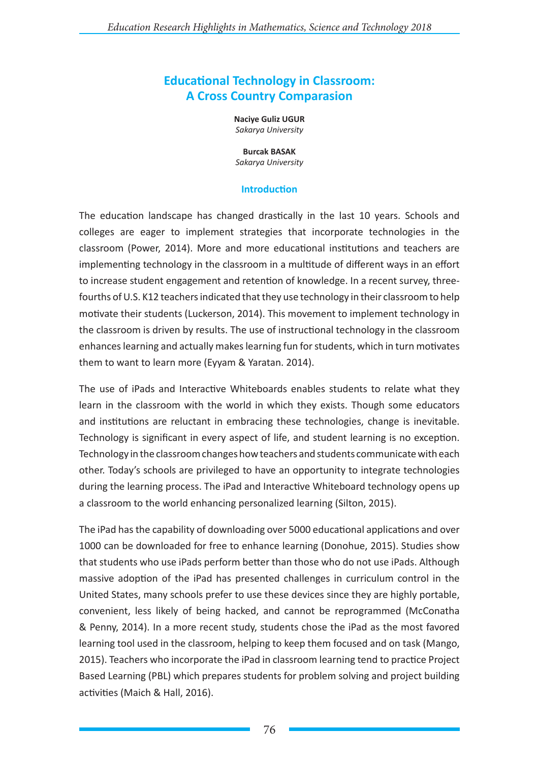# **Educational Technology in Classroom: A Cross Country Comparasion**

**Naciye Guliz UGUR** *Sakarya University*

**Burcak BASAK**

*Sakarya University*

#### **Introduction**

The education landscape has changed drastically in the last 10 years. Schools and colleges are eager to implement strategies that incorporate technologies in the classroom (Power, 2014). More and more educational institutions and teachers are implementing technology in the classroom in a multitude of different ways in an effort to increase student engagement and retention of knowledge. In a recent survey, threefourths of U.S. K12 teachers indicated that they use technology in their classroom to help motivate their students (Luckerson, 2014). This movement to implement technology in the classroom is driven by results. The use of instructional technology in the classroom enhances learning and actually makes learning fun for students, which in turn motivates them to want to learn more (Eyyam & Yaratan. 2014).

The use of iPads and Interactive Whiteboards enables students to relate what they learn in the classroom with the world in which they exists. Though some educators and institutions are reluctant in embracing these technologies, change is inevitable. Technology is significant in every aspect of life, and student learning is no exception. Technology in the classroom changes how teachers and students communicate with each other. Today's schools are privileged to have an opportunity to integrate technologies during the learning process. The iPad and Interactive Whiteboard technology opens up a classroom to the world enhancing personalized learning (Silton, 2015).

The iPad has the capability of downloading over 5000 educational applications and over 1000 can be downloaded for free to enhance learning (Donohue, 2015). Studies show that students who use iPads perform better than those who do not use iPads. Although massive adoption of the iPad has presented challenges in curriculum control in the United States, many schools prefer to use these devices since they are highly portable, convenient, less likely of being hacked, and cannot be reprogrammed (McConatha & Penny, 2014). In a more recent study, students chose the iPad as the most favored learning tool used in the classroom, helping to keep them focused and on task (Mango, 2015). Teachers who incorporate the iPad in classroom learning tend to practice Project Based Learning (PBL) which prepares students for problem solving and project building activities (Maich & Hall, 2016).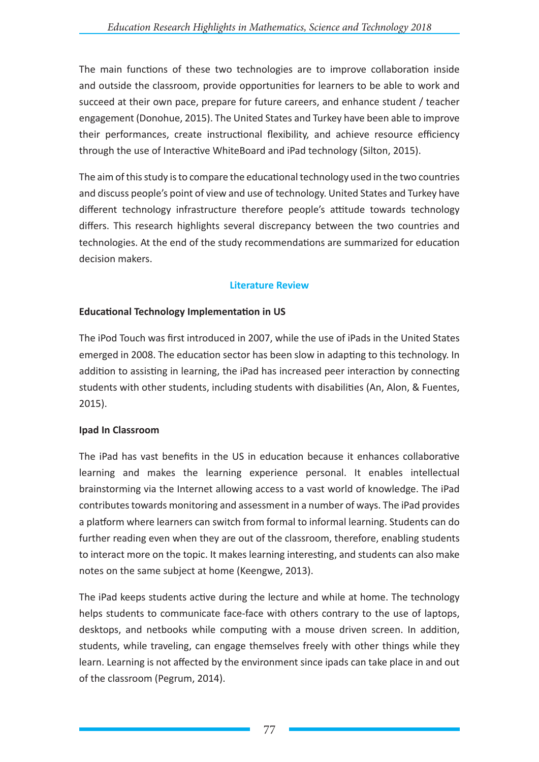The main functions of these two technologies are to improve collaboration inside and outside the classroom, provide opportunities for learners to be able to work and succeed at their own pace, prepare for future careers, and enhance student / teacher engagement (Donohue, 2015). The United States and Turkey have been able to improve their performances, create instructional flexibility, and achieve resource efficiency through the use of Interactive WhiteBoard and iPad technology (Silton, 2015).

The aim of this study is to compare the educational technology used in the two countries and discuss people's point of view and use of technology. United States and Turkey have different technology infrastructure therefore people's attitude towards technology differs. This research highlights several discrepancy between the two countries and technologies. At the end of the study recommendations are summarized for education decision makers.

#### **Literature Review**

## **Educational Technology Implementation in US**

The iPod Touch was first introduced in 2007, while the use of iPads in the United States emerged in 2008. The education sector has been slow in adapting to this technology. In addition to assisting in learning, the iPad has increased peer interaction by connecting students with other students, including students with disabilities (An, Alon, & Fuentes, 2015).

## **Ipad In Classroom**

The iPad has vast benefits in the US in education because it enhances collaborative learning and makes the learning experience personal. It enables intellectual brainstorming via the Internet allowing access to a vast world of knowledge. The iPad contributes towards monitoring and assessment in a number of ways. The iPad provides a platform where learners can switch from formal to informal learning. Students can do further reading even when they are out of the classroom, therefore, enabling students to interact more on the topic. It makes learning interesting, and students can also make notes on the same subject at home (Keengwe, 2013).

The iPad keeps students active during the lecture and while at home. The technology helps students to communicate face-face with others contrary to the use of laptops, desktops, and netbooks while computing with a mouse driven screen. In addition, students, while traveling, can engage themselves freely with other things while they learn. Learning is not affected by the environment since ipads can take place in and out of the classroom (Pegrum, 2014).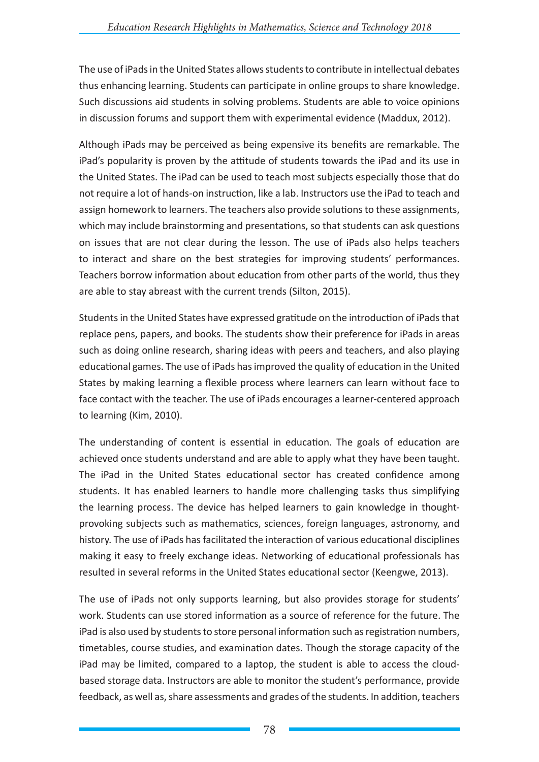The use of iPads in the United States allows students to contribute in intellectual debates thus enhancing learning. Students can participate in online groups to share knowledge. Such discussions aid students in solving problems. Students are able to voice opinions in discussion forums and support them with experimental evidence (Maddux, 2012).

Although iPads may be perceived as being expensive its benefits are remarkable. The iPad's popularity is proven by the attitude of students towards the iPad and its use in the United States. The iPad can be used to teach most subjects especially those that do not require a lot of hands-on instruction, like a lab. Instructors use the iPad to teach and assign homework to learners. The teachers also provide solutions to these assignments, which may include brainstorming and presentations, so that students can ask questions on issues that are not clear during the lesson. The use of iPads also helps teachers to interact and share on the best strategies for improving students' performances. Teachers borrow information about education from other parts of the world, thus they are able to stay abreast with the current trends (Silton, 2015).

Students in the United States have expressed gratitude on the introduction of iPads that replace pens, papers, and books. The students show their preference for iPads in areas such as doing online research, sharing ideas with peers and teachers, and also playing educational games. The use of iPads has improved the quality of education in the United States by making learning a flexible process where learners can learn without face to face contact with the teacher. The use of iPads encourages a learner-centered approach to learning (Kim, 2010).

The understanding of content is essential in education. The goals of education are achieved once students understand and are able to apply what they have been taught. The iPad in the United States educational sector has created confidence among students. It has enabled learners to handle more challenging tasks thus simplifying the learning process. The device has helped learners to gain knowledge in thoughtprovoking subjects such as mathematics, sciences, foreign languages, astronomy, and history. The use of iPads has facilitated the interaction of various educational disciplines making it easy to freely exchange ideas. Networking of educational professionals has resulted in several reforms in the United States educational sector (Keengwe, 2013).

The use of iPads not only supports learning, but also provides storage for students' work. Students can use stored information as a source of reference for the future. The iPad is also used by students to store personal information such as registration numbers, timetables, course studies, and examination dates. Though the storage capacity of the iPad may be limited, compared to a laptop, the student is able to access the cloudbased storage data. Instructors are able to monitor the student's performance, provide feedback, as well as, share assessments and grades of the students. In addition, teachers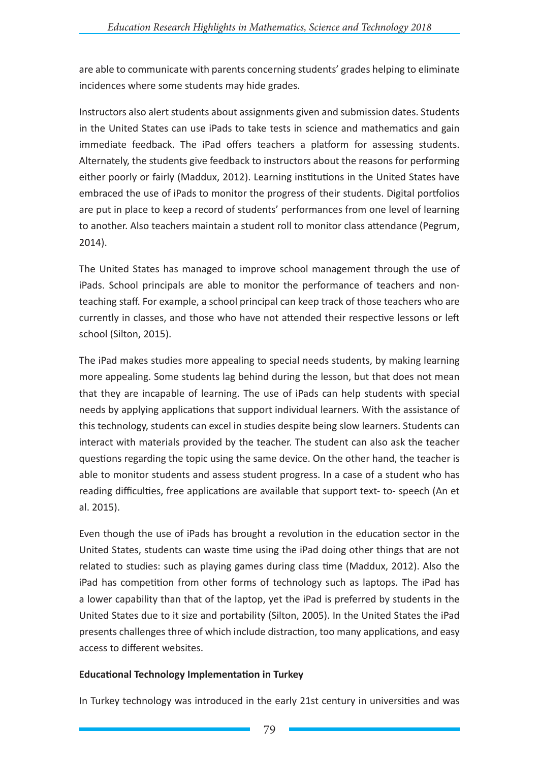are able to communicate with parents concerning students' grades helping to eliminate incidences where some students may hide grades.

Instructors also alert students about assignments given and submission dates. Students in the United States can use iPads to take tests in science and mathematics and gain immediate feedback. The iPad offers teachers a platform for assessing students. Alternately, the students give feedback to instructors about the reasons for performing either poorly or fairly (Maddux, 2012). Learning institutions in the United States have embraced the use of iPads to monitor the progress of their students. Digital portfolios are put in place to keep a record of students' performances from one level of learning to another. Also teachers maintain a student roll to monitor class attendance (Pegrum, 2014).

The United States has managed to improve school management through the use of iPads. School principals are able to monitor the performance of teachers and nonteaching staff. For example, a school principal can keep track of those teachers who are currently in classes, and those who have not attended their respective lessons or left school (Silton, 2015).

The iPad makes studies more appealing to special needs students, by making learning more appealing. Some students lag behind during the lesson, but that does not mean that they are incapable of learning. The use of iPads can help students with special needs by applying applications that support individual learners. With the assistance of this technology, students can excel in studies despite being slow learners. Students can interact with materials provided by the teacher. The student can also ask the teacher questions regarding the topic using the same device. On the other hand, the teacher is able to monitor students and assess student progress. In a case of a student who has reading difficulties, free applications are available that support text- to- speech (An et al. 2015).

Even though the use of iPads has brought a revolution in the education sector in the United States, students can waste time using the iPad doing other things that are not related to studies: such as playing games during class time (Maddux, 2012). Also the iPad has competition from other forms of technology such as laptops. The iPad has a lower capability than that of the laptop, yet the iPad is preferred by students in the United States due to it size and portability (Silton, 2005). In the United States the iPad presents challenges three of which include distraction, too many applications, and easy access to different websites.

## **Educational Technology Implementation in Turkey**

In Turkey technology was introduced in the early 21st century in universities and was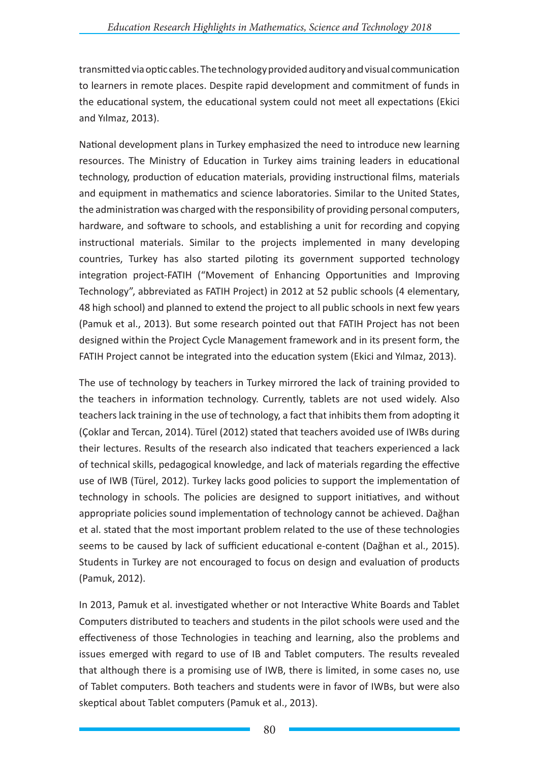transmitted via optic cables. The technology provided auditory and visual communication to learners in remote places. Despite rapid development and commitment of funds in the educational system, the educational system could not meet all expectations (Ekici and Yılmaz, 2013).

National development plans in Turkey emphasized the need to introduce new learning resources. The Ministry of Education in Turkey aims training leaders in educational technology, production of education materials, providing instructional films, materials and equipment in mathematics and science laboratories. Similar to the United States, the administration was charged with the responsibility of providing personal computers, hardware, and software to schools, and establishing a unit for recording and copying instructional materials. Similar to the projects implemented in many developing countries, Turkey has also started piloting its government supported technology integration project-FATIH ("Movement of Enhancing Opportunities and Improving Technology", abbreviated as FATIH Project) in 2012 at 52 public schools (4 elementary, 48 high school) and planned to extend the project to all public schools in next few years (Pamuk et al., 2013). But some research pointed out that FATIH Project has not been designed within the Project Cycle Management framework and in its present form, the FATIH Project cannot be integrated into the education system (Ekici and Yılmaz, 2013).

The use of technology by teachers in Turkey mirrored the lack of training provided to the teachers in information technology. Currently, tablets are not used widely. Also teachers lack training in the use of technology, a fact that inhibits them from adopting it (Çoklar and Tercan, 2014). Türel (2012) stated that teachers avoided use of IWBs during their lectures. Results of the research also indicated that teachers experienced a lack of technical skills, pedagogical knowledge, and lack of materials regarding the effective use of IWB (Türel, 2012). Turkey lacks good policies to support the implementation of technology in schools. The policies are designed to support initiatives, and without appropriate policies sound implementation of technology cannot be achieved. Dağhan et al. stated that the most important problem related to the use of these technologies seems to be caused by lack of sufficient educational e-content (Dağhan et al., 2015). Students in Turkey are not encouraged to focus on design and evaluation of products (Pamuk, 2012).

In 2013, Pamuk et al. investigated whether or not Interactive White Boards and Tablet Computers distributed to teachers and students in the pilot schools were used and the effectiveness of those Technologies in teaching and learning, also the problems and issues emerged with regard to use of IB and Tablet computers. The results revealed that although there is a promising use of IWB, there is limited, in some cases no, use of Tablet computers. Both teachers and students were in favor of IWBs, but were also skeptical about Tablet computers (Pamuk et al., 2013).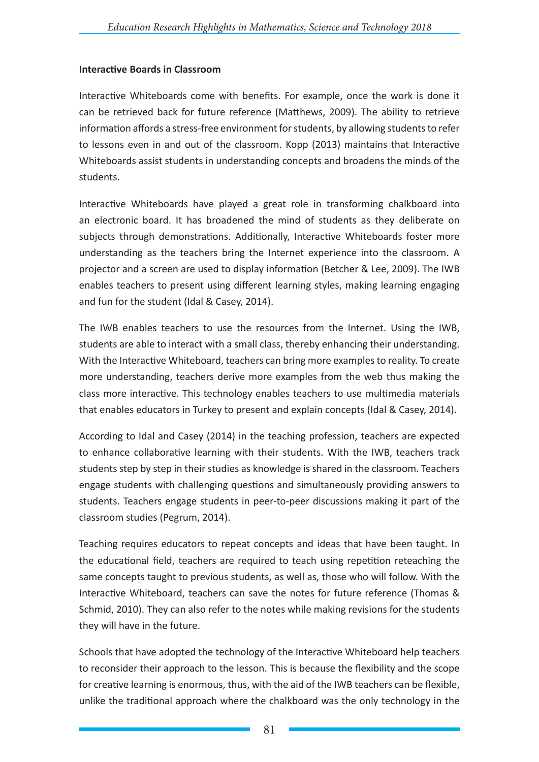#### **Interactive Boards in Classroom**

Interactive Whiteboards come with benefits. For example, once the work is done it can be retrieved back for future reference (Matthews, 2009). The ability to retrieve information affords a stress-free environment for students, by allowing students to refer to lessons even in and out of the classroom. Kopp (2013) maintains that Interactive Whiteboards assist students in understanding concepts and broadens the minds of the students.

Interactive Whiteboards have played a great role in transforming chalkboard into an electronic board. It has broadened the mind of students as they deliberate on subjects through demonstrations. Additionally, Interactive Whiteboards foster more understanding as the teachers bring the Internet experience into the classroom. A projector and a screen are used to display information (Betcher & Lee, 2009). The IWB enables teachers to present using different learning styles, making learning engaging and fun for the student (Idal & Casey, 2014).

The IWB enables teachers to use the resources from the Internet. Using the IWB, students are able to interact with a small class, thereby enhancing their understanding. With the Interactive Whiteboard, teachers can bring more examples to reality. To create more understanding, teachers derive more examples from the web thus making the class more interactive. This technology enables teachers to use multimedia materials that enables educators in Turkey to present and explain concepts (Idal & Casey, 2014).

According to Idal and Casey (2014) in the teaching profession, teachers are expected to enhance collaborative learning with their students. With the IWB, teachers track students step by step in their studies as knowledge is shared in the classroom. Teachers engage students with challenging questions and simultaneously providing answers to students. Teachers engage students in peer-to-peer discussions making it part of the classroom studies (Pegrum, 2014).

Teaching requires educators to repeat concepts and ideas that have been taught. In the educational field, teachers are required to teach using repetition reteaching the same concepts taught to previous students, as well as, those who will follow. With the Interactive Whiteboard, teachers can save the notes for future reference (Thomas & Schmid, 2010). They can also refer to the notes while making revisions for the students they will have in the future.

Schools that have adopted the technology of the Interactive Whiteboard help teachers to reconsider their approach to the lesson. This is because the flexibility and the scope for creative learning is enormous, thus, with the aid of the IWB teachers can be flexible, unlike the traditional approach where the chalkboard was the only technology in the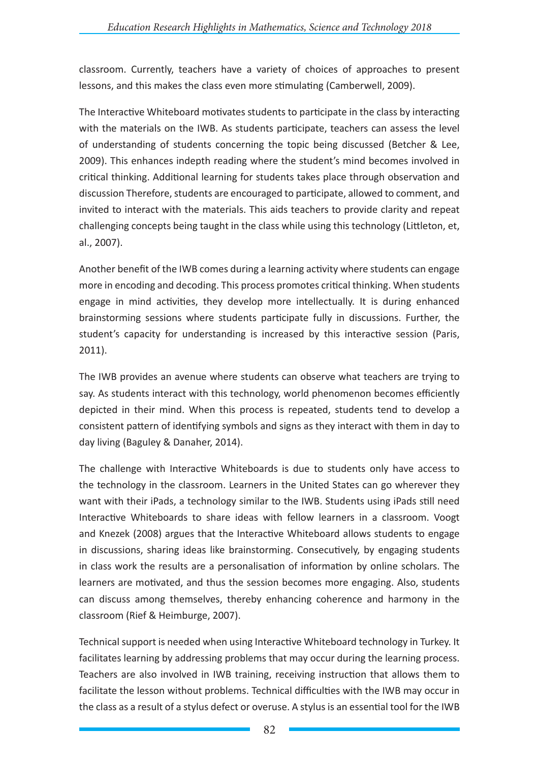classroom. Currently, teachers have a variety of choices of approaches to present lessons, and this makes the class even more stimulating (Camberwell, 2009).

The Interactive Whiteboard motivates students to participate in the class by interacting with the materials on the IWB. As students participate, teachers can assess the level of understanding of students concerning the topic being discussed (Betcher & Lee, 2009). This enhances indepth reading where the student's mind becomes involved in critical thinking. Additional learning for students takes place through observation and discussion Therefore, students are encouraged to participate, allowed to comment, and invited to interact with the materials. This aids teachers to provide clarity and repeat challenging concepts being taught in the class while using this technology (Littleton, et, al., 2007).

Another benefit of the IWB comes during a learning activity where students can engage more in encoding and decoding. This process promotes critical thinking. When students engage in mind activities, they develop more intellectually. It is during enhanced brainstorming sessions where students participate fully in discussions. Further, the student's capacity for understanding is increased by this interactive session (Paris, 2011).

The IWB provides an avenue where students can observe what teachers are trying to say. As students interact with this technology, world phenomenon becomes efficiently depicted in their mind. When this process is repeated, students tend to develop a consistent pattern of identifying symbols and signs as they interact with them in day to day living (Baguley & Danaher, 2014).

The challenge with Interactive Whiteboards is due to students only have access to the technology in the classroom. Learners in the United States can go wherever they want with their iPads, a technology similar to the IWB. Students using iPads still need Interactive Whiteboards to share ideas with fellow learners in a classroom. Voogt and Knezek (2008) argues that the Interactive Whiteboard allows students to engage in discussions, sharing ideas like brainstorming. Consecutively, by engaging students in class work the results are a personalisation of information by online scholars. The learners are motivated, and thus the session becomes more engaging. Also, students can discuss among themselves, thereby enhancing coherence and harmony in the classroom (Rief & Heimburge, 2007).

Technical support is needed when using Interactive Whiteboard technology in Turkey. It facilitates learning by addressing problems that may occur during the learning process. Teachers are also involved in IWB training, receiving instruction that allows them to facilitate the lesson without problems. Technical difficulties with the IWB may occur in the class as a result of a stylus defect or overuse. A stylus is an essential tool for the IWB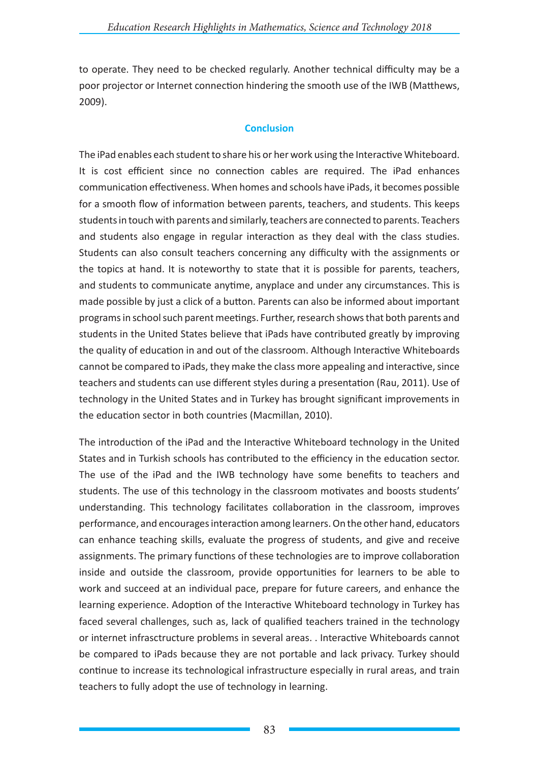to operate. They need to be checked regularly. Another technical difficulty may be a poor projector or Internet connection hindering the smooth use of the IWB (Matthews, 2009).

#### **Conclusion**

The iPad enables each student to share his or her work using the Interactive Whiteboard. It is cost efficient since no connection cables are required. The iPad enhances communication effectiveness. When homes and schools have iPads, it becomes possible for a smooth flow of information between parents, teachers, and students. This keeps students in touch with parents and similarly, teachers are connected to parents. Teachers and students also engage in regular interaction as they deal with the class studies. Students can also consult teachers concerning any difficulty with the assignments or the topics at hand. It is noteworthy to state that it is possible for parents, teachers, and students to communicate anytime, anyplace and under any circumstances. This is made possible by just a click of a button. Parents can also be informed about important programs in school such parent meetings. Further, research shows that both parents and students in the United States believe that iPads have contributed greatly by improving the quality of education in and out of the classroom. Although Interactive Whiteboards cannot be compared to iPads, they make the class more appealing and interactive, since teachers and students can use different styles during a presentation (Rau, 2011). Use of technology in the United States and in Turkey has brought significant improvements in the education sector in both countries (Macmillan, 2010).

The introduction of the iPad and the Interactive Whiteboard technology in the United States and in Turkish schools has contributed to the efficiency in the education sector. The use of the iPad and the IWB technology have some benefits to teachers and students. The use of this technology in the classroom motivates and boosts students' understanding. This technology facilitates collaboration in the classroom, improves performance, and encourages interaction among learners. On the other hand, educators can enhance teaching skills, evaluate the progress of students, and give and receive assignments. The primary functions of these technologies are to improve collaboration inside and outside the classroom, provide opportunities for learners to be able to work and succeed at an individual pace, prepare for future careers, and enhance the learning experience. Adoption of the Interactive Whiteboard technology in Turkey has faced several challenges, such as, lack of qualified teachers trained in the technology or internet infrasctructure problems in several areas. . Interactive Whiteboards cannot be compared to iPads because they are not portable and lack privacy. Turkey should continue to increase its technological infrastructure especially in rural areas, and train teachers to fully adopt the use of technology in learning.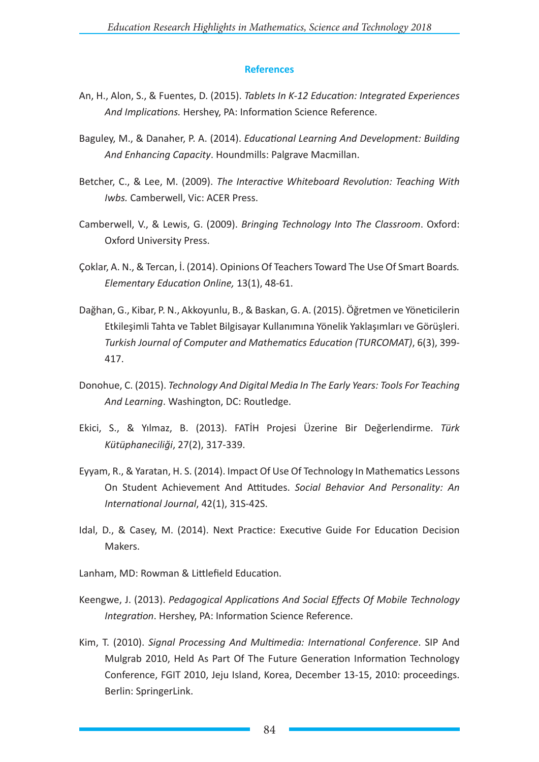#### **References**

- An, H., Alon, S., & Fuentes, D. (2015). *Tablets In K-12 Education: Integrated Experiences And Implications.* Hershey, PA: Information Science Reference.
- Baguley, M., & Danaher, P. A. (2014). *Educational Learning And Development: Building And Enhancing Capacity*. Houndmills: Palgrave Macmillan.
- Betcher, C., & Lee, M. (2009). *The Interactive Whiteboard Revolution: Teaching With Iwbs.* Camberwell, Vic: ACER Press.
- Camberwell, V., & Lewis, G. (2009). *Bringing Technology Into The Classroom*. Oxford: Oxford University Press.
- Çoklar, A. N., & Tercan, İ. (2014). Opinions Of Teachers Toward The Use Of Smart Boards*. Elementary Education Online,* 13(1), 48-61.
- Dağhan, G., Kibar, P. N., Akkoyunlu, B., & Baskan, G. A. (2015). Öğretmen ve Yöneticilerin Etkileşimli Tahta ve Tablet Bilgisayar Kullanımına Yönelik Yaklaşımları ve Görüşleri. *Turkish Journal of Computer and Mathematics Education (TURCOMAT)*, 6(3), 399- 417.
- Donohue, C. (2015). *Technology And Digital Media In The Early Years: Tools For Teaching And Learning*. Washington, DC: Routledge.
- Ekici, S., & Yılmaz, B. (2013). FATİH Projesi Üzerine Bir Değerlendirme. *Türk Kütüphaneciliği*, 27(2), 317-339.
- Eyyam, R., & Yaratan, H. S. (2014). Impact Of Use Of Technology In Mathematics Lessons On Student Achievement And Attitudes. *Social Behavior And Personality: An International Journal*, 42(1), 31S-42S.
- Idal, D., & Casey, M. (2014). Next Practice: Executive Guide For Education Decision Makers.
- Lanham, MD: Rowman & Littlefield Education.
- Keengwe, J. (2013). *Pedagogical Applications And Social Effects Of Mobile Technology Integration*. Hershey, PA: Information Science Reference.
- Kim, T. (2010). *Signal Processing And Multimedia: International Conference*. SIP And Mulgrab 2010, Held As Part Of The Future Generation Information Technology Conference, FGIT 2010, Jeju Island, Korea, December 13-15, 2010: proceedings. Berlin: SpringerLink.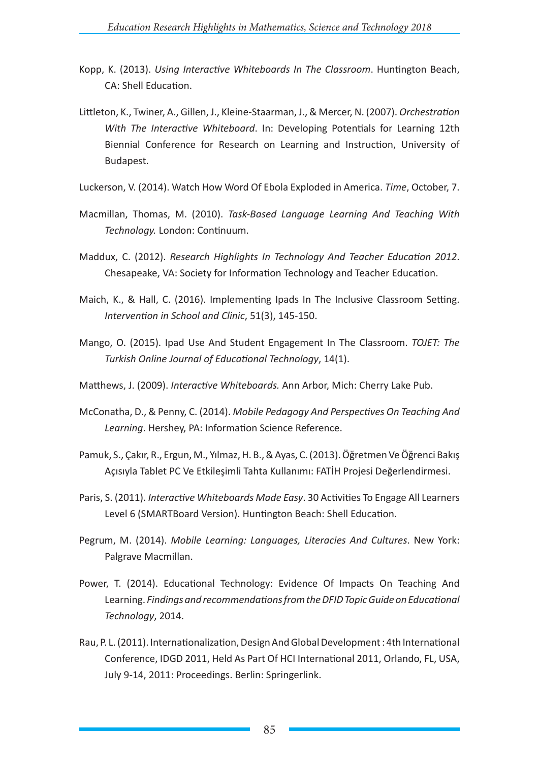- Kopp, K. (2013). *Using Interactive Whiteboards In The Classroom*. Huntington Beach, CA: Shell Education.
- Littleton, K., Twiner, A., Gillen, J., Kleine-Staarman, J., & Mercer, N. (2007). *Orchestration With The Interactive Whiteboard*. In: Developing Potentials for Learning 12th Biennial Conference for Research on Learning and Instruction, University of Budapest.
- Luckerson, V. (2014). Watch How Word Of Ebola Exploded in America. *Time*, October, 7.
- Macmillan, Thomas, M. (2010). *Task-Based Language Learning And Teaching With Technology.* London: Continuum.
- Maddux, C. (2012). *Research Highlights In Technology And Teacher Education 2012*. Chesapeake, VA: Society for Information Technology and Teacher Education.
- Maich, K., & Hall, C. (2016). Implementing Ipads In The Inclusive Classroom Setting. *Intervention in School and Clinic*, 51(3), 145-150.
- Mango, O. (2015). Ipad Use And Student Engagement In The Classroom. *TOJET: The Turkish Online Journal of Educational Technology*, 14(1).
- Matthews, J. (2009). *Interactive Whiteboards.* Ann Arbor, Mich: Cherry Lake Pub.
- McConatha, D., & Penny, C. (2014). *Mobile Pedagogy And Perspectives On Teaching And Learning*. Hershey, PA: Information Science Reference.
- Pamuk, S., Çakır, R., Ergun, M., Yılmaz, H. B., & Ayas, C. (2013). Öğretmen Ve Öğrenci Bakış Açısıyla Tablet PC Ve Etkileşimli Tahta Kullanımı: FATİH Projesi Değerlendirmesi.
- Paris, S. (2011). *Interactive Whiteboards Made Easy*. 30 Activities To Engage All Learners Level 6 (SMARTBoard Version). Huntington Beach: Shell Education.
- Pegrum, M. (2014). *Mobile Learning: Languages, Literacies And Cultures*. New York: Palgrave Macmillan.
- Power, T. (2014). Educational Technology: Evidence Of Impacts On Teaching And Learning. *Findings and recommendations from the DFID Topic Guide on Educational Technology*, 2014.
- Rau, P. L. (2011). Internationalization, Design And Global Development : 4th International Conference, IDGD 2011, Held As Part Of HCI International 2011, Orlando, FL, USA, July 9-14, 2011: Proceedings. Berlin: Springerlink.